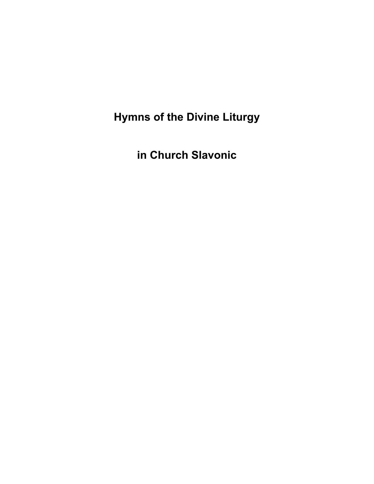**Hymns of the Divine Liturgy** 

**in Church Slavonic**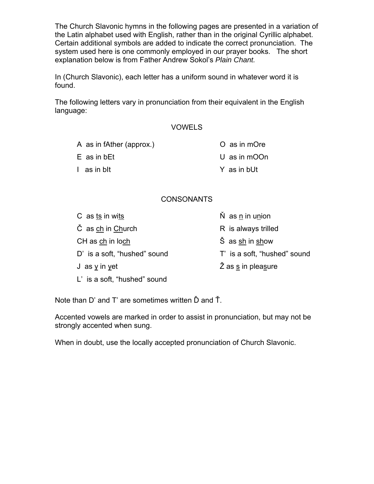The Church Slavonic hymns in the following pages are presented in a variation of the Latin alphabet used with English, rather than in the original Cyrillic alphabet. Certain additional symbols are added to indicate the correct pronunciation. The system used here is one commonly employed in our prayer books. The short explanation below is from Father Andrew Sokol's *Plain Chant.*

In (Church Slavonic), each letter has a uniform sound in whatever word it is found.

The following letters vary in pronunciation from their equivalent in the English language:

### VOWELS

- A as in fAther (approx.)
- E as in bEt
- I as in bIt

## **CONSONANTS**

| C as ts in wits              | $\dot{N}$ as $\underline{n}$ in union |
|------------------------------|---------------------------------------|
| C as ch in Church            | R is always trilled                   |
| CH as ch in loch             | S as sh in show                       |
| D' is a soft, "hushed" sound | T' is a soft, "hushed" sound          |
| J as $y$ in yet              | Z as s in pleasure                    |
| L' is a soft, "hushed" sound |                                       |

Note than D' and T' are sometimes written Ď and Ť.

Accented vowels are marked in order to assist in pronunciation, but may not be strongly accented when sung.

When in doubt, use the locally accepted pronunciation of Church Slavonic.

- U as in mOOn
	- Y as in bUt

O as in mOre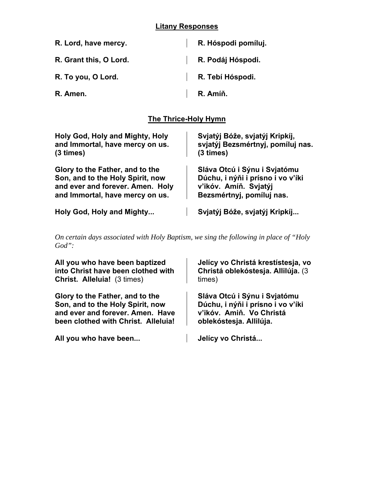## **Litany Responses**

| R. Lord, have mercy.   | R. Hóspodi pomíluj. |
|------------------------|---------------------|
| R. Grant this, O Lord. | R. Podáj Hóspodi.   |
| R. To you, O Lord.     | R. Tebí Hóspodi.    |
| R. Amen.               | R. Amíň.            |

# **The Thrice-Holy Hymn**

| Holy God, Holy and Mighty, Holy  | Svjatýj Bóže, svjatýj Kripkíj,    |
|----------------------------------|-----------------------------------|
| and Immortal, have mercy on us.  | svjatýj Bezsmértnyj, pomíluj nas. |
| (3 times)                        | (3 times)                         |
| Glory to the Father, and to the  | Sláva Otcú i Sýnu i Svjatómu      |
| Son, and to the Holy Spirit, now | Dúchu, i nýňi i prísno i vo v'íki |
| and ever and forever. Amen. Holy | v'ikóv. Amíň. Svjatýj             |
| and Immortal, have mercy on us.  | Bezsmértnyj, pomíluj nas.         |
| Holy God, Holy and Mighty        | Svjatýj Bóže, svjatýj Kripkíj     |

*On certain days associated with Holy Baptism, we sing the following in place of "Holy God":*

| All you who have been baptized      | Jelícy vo Christá krestístesja, vo |
|-------------------------------------|------------------------------------|
| into Christ have been clothed with  | Christá oblekóstesja. Allilúja. (3 |
| <b>Christ. Alleluia!</b> (3 times)  | times)                             |
| Glory to the Father, and to the     | Sláva Otcú i Sýnu i Svjatómu       |
| Son, and to the Holy Spirit, now    | Dúchu, i nýňi i prísno i vo v'íki  |
| and ever and forever. Amen. Have    | v'ikóv. Amiň. Vo Christá           |
| been clothed with Christ. Alleluia! | oblekóstesja. Allilúja.            |
| All you who have been               | Jelícy vo Christá                  |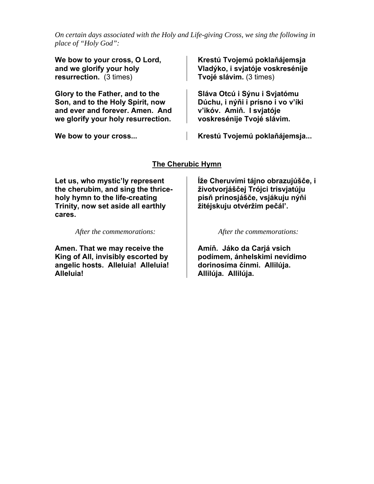*On certain days associated with the Holy and Life-giving Cross, we sing the following in place of "Holy God":*

**We bow to your cross, O Lord, and we glorify your holy resurrection.** (3 times)

**Glory to the Father, and to the Son, and to the Holy Spirit, now and ever and forever. Amen. And we glorify your holy resurrection.** 

**Krestú Tvojemú poklaňájemsja Vladýko, i svjatóje voskresénije Tvojé slávim.** (3 times)

**Sláva Otcú i Sýnu i Svjatómu Dúchu, i nýňi i prísno i vo v'íki v'ikóv. Amiň. I svjatóje voskresénije Tvojé slávim.**

**We bow to your cross... Krestú Tvojemú poklaňájemsja...**

## **The Cherubic Hymn**

**Let us, who mystic'ly represent the cherubim, and sing the thriceholy hymn to the life-creating Trinity, now set aside all earthly cares.** 

*After the commemorations:*

**Amen. That we may receive the King of All, invisibly escorted by angelic hosts. Alleluia! Alleluia! Alleluia!** 

**Íže Cheruvími tájno obrazujúšče, i životvorjáščej Trójci trisvjatúju pisň prinosjášče, vsjákuju nýňi žitéjskuju otvéržim pečál'.** 

*After the commemorations:*

**Amíň. Jáko da Carjá vsich podímem, ánhelskimi nevídimo dorinosíma čínmi. Allilúja. Allilúja. Allilúja.**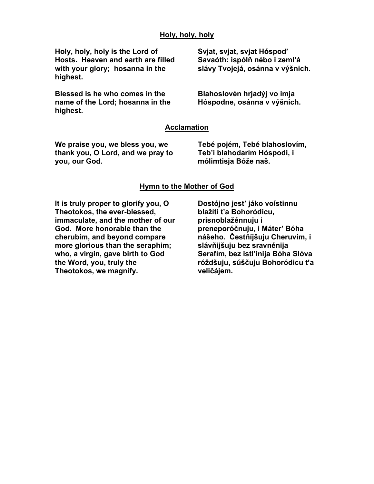### **Holy, holy, holy**

**Holy, holy, holy is the Lord of Hosts. Heaven and earth are filled with your glory; hosanna in the highest.** 

**Blessed is he who comes in the name of the Lord; hosanna in the highest.** 

**Svjat, svjat, svjat Hóspod' Savaóth: ispólň nébo i zeml'á slávy Tvojejá, osánna v výšnich.** 

**Blahoslovén hrjadýj vo imja Hóspodne, osánna v výšnich.**

### **Acclamation**

**We praise you, we bless you, we thank you, O Lord, and we pray to you, our God.** 

**Tebé pojém, Tebé blahoslovím, Teb'i blahodarím Hóspodi, i mólimtisja Bóže naš.**

### **Hymn to the Mother of God**

**It is truly proper to glorify you, O Theotokos, the ever-blessed, immaculate, and the mother of our God. More honorable than the cherubim, and beyond compare more glorious than the seraphim; who, a virgin, gave birth to God the Word, you, truly the Theotokos, we magnify.** 

**Dostójno jest' jáko voístinnu blažíti t'a Bohoródicu, prisnoblažénnuju i preneporóčnuju, i Máter' Bóha nášeho. Čestňíjšuju Cheruvím, i slávňijšuju bez sravnénija Serafím, bez istl'ínija Bóha Slóva róždšuju, súščuju Bohoródicu t'a veličájem.**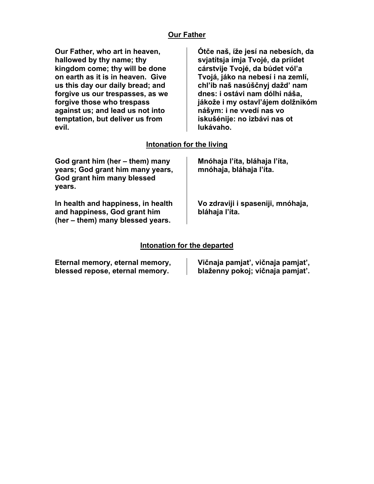# **Our Father**

| Our Father, who art in heaven,<br>hallowed by thy name; thy<br>kingdom come; thy will be done<br>on earth as it is in heaven. Give<br>us this day our daily bread; and<br>forgive us our trespasses, as we<br>forgive those who trespass<br>against us; and lead us not into<br>temptation, but deliver us from<br>evil. | Otče naš, íže jesí na nebesích, da<br>svjatítsja ímja Tvojé, da priídet<br>cárstvije Tvojé, da búdet vóľa<br>Tvojá, jáko na nebesí i na zemlí,<br>chl'ib naš nasúščnyj dažd' nam<br>dnes: i ostávi nam dólhi náša,<br>jákože i my ostavľájem dolžnikóm<br>nášym: i ne vvedí nas vo<br>iskušénije: no izbávi nas ot<br>lukávaho. |
|--------------------------------------------------------------------------------------------------------------------------------------------------------------------------------------------------------------------------------------------------------------------------------------------------------------------------|---------------------------------------------------------------------------------------------------------------------------------------------------------------------------------------------------------------------------------------------------------------------------------------------------------------------------------|
| Intonation for the living                                                                                                                                                                                                                                                                                                |                                                                                                                                                                                                                                                                                                                                 |
| God grant him (her – them) many<br>years; God grant him many years,<br>God grant him many blessed<br>years.                                                                                                                                                                                                              | Mnóhaja l'íta, bláhaja l'íta,<br>mnóhaja, bláhaja l'íta.                                                                                                                                                                                                                                                                        |
| In health and happiness, in health<br>and happiness, God grant him<br>(her – them) many blessed years.                                                                                                                                                                                                                   | Vo zdraviji i spaseniji, mnóhaja,<br>bláhaja l'íta.                                                                                                                                                                                                                                                                             |

# **Intonation for the departed**

| Eternal memory, eternal memory, | Vičnaja pamjat', vičnaja pamjat', |
|---------------------------------|-----------------------------------|
| blessed repose, eternal memory. | blaženny pokoj; vičnaja pamjať.   |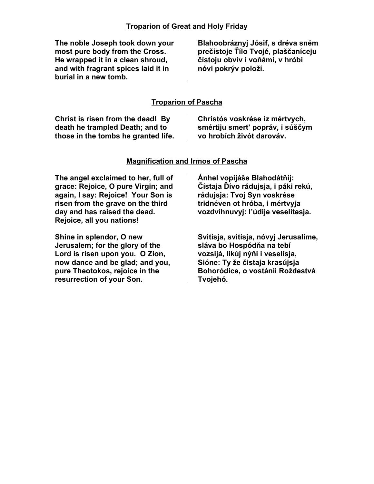### **Troparion of Great and Holy Friday**

**The noble Joseph took down your most pure body from the Cross. He wrapped it in a clean shroud, and with fragrant spices laid it in burial in a new tomb.** 

**Blahoobráznyj Jósif, s dréva sném prečístoje Ťílo Tvojé, plaščaníceju čístoju obvív i voňámi, v hróbi nóvi pokrýv položí.** 

### **Troparion of Pascha**

| Christ is risen from the dead! By   | Christós voskrése iz mértvych,   |
|-------------------------------------|----------------------------------|
| death he trampled Death; and to     | smértiju smert' popráv, i súščym |
| those in the tombs he granted life. | vo hrobích živót darováv.        |

### **Magnification and Irmos of Pascha**

**The angel exclaimed to her, full of grace: Rejoice, O pure Virgin; and again, I say: Rejoice! Your Son is risen from the grave on the third day and has raised the dead. Rejoice, all you nations!** 

**Shine in splendor, O new Jerusalem; for the glory of the Lord is risen upon you. O Zion, now dance and be glad; and you, pure Theotokos, rejoice in the resurrection of your Son.** 

**Ánhel vopijáše Blahodátňij: Čístaja Ďívo rádujsja, i páki rekú, rádujsja: Tvoj Syn voskrése tridnéven ot hróba, i mértvyja vozdvíhnuvyj: l'údije veselítesja.** 

**Svitísja, svitísja, nóvyj Jerusalíme, sláva bo Hospódňa na tebí vozsijá, likúj nýňi i veselísja, Sióne: Ty že čistaja krasújsja Bohoródice, o vostánii Roždestvá Tvojehó.**